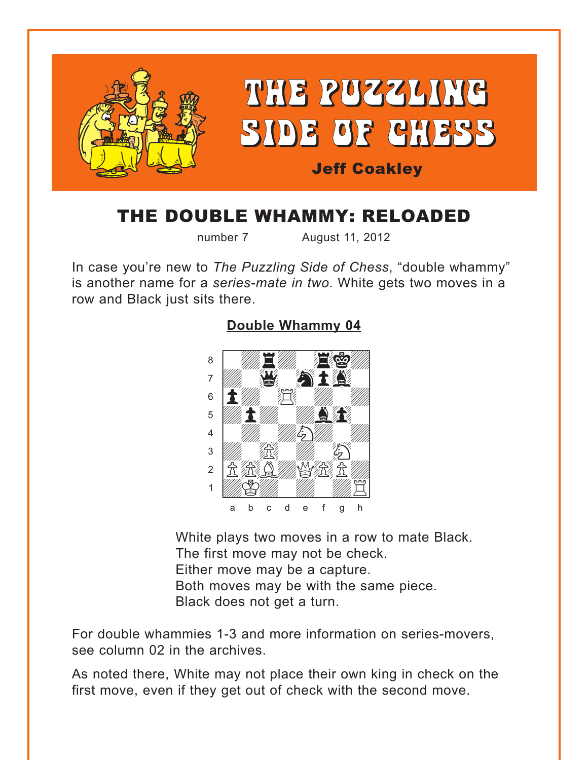<span id="page-0-0"></span>

## THE DOUBLE WHAMMY: RELOADED

number 7 August 11, 2012

In case you're new to *The Puzzling Side of Chess*, "double whammy" is another name for a *series-mate in two*. White gets two moves in a row and Black just sits there.

#### **[Double Whammy 04](#page-4-0)**



White plays two moves in a row to mate Black. The first move may not be check. Either move may be a capture. Both moves may be with the same piece. Black does not get a turn.

For double whammies 1-3 and more information on series-movers, see column 02 in the archives.

As noted there, White may not place their own king in check on the first move, even if they get out of check with the second move.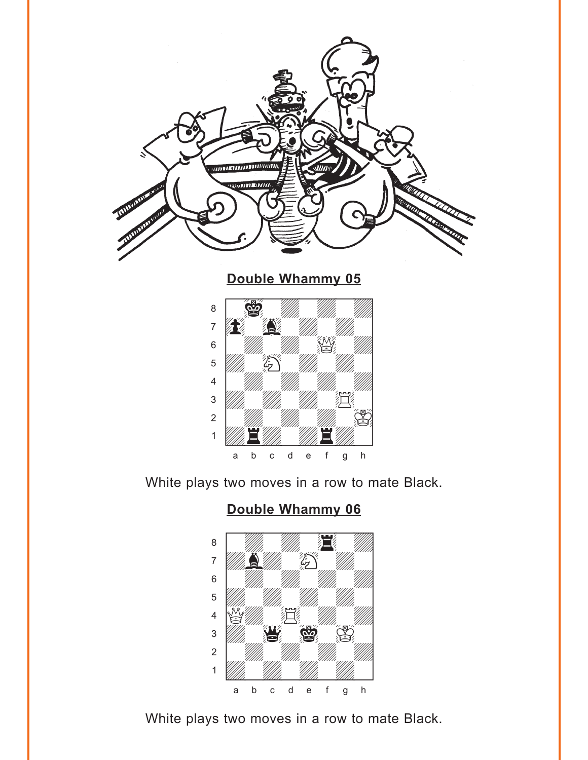<span id="page-1-0"></span>

**[Double Whammy 05](#page-4-0)**



White plays two moves in a row to mate Black.

## **[Double Whammy 06](#page-5-0)**



White plays two moves in a row to mate Black.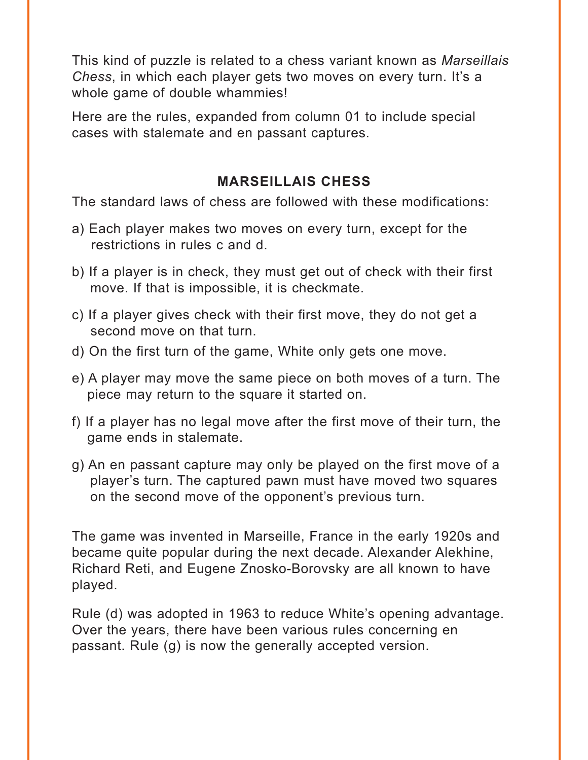This kind of puzzle is related to a chess variant known as *Marseillais Chess*, in which each player gets two moves on every turn. It's a whole game of double whammies!

Here are the rules, expanded from column 01 to include special cases with stalemate and en passant captures.

#### **MARSEILLAIS CHESS**

The standard laws of chess are followed with these modifications:

- a) Each player makes two moves on every turn, except for the restrictions in rules c and d.
- b) If a player is in check, they must get out of check with their first move. If that is impossible, it is checkmate.
- c) If a player gives check with their first move, they do not get a second move on that turn.
- d) On the first turn of the game, White only gets one move.
- e) A player may move the same piece on both moves of a turn. The piece may return to the square it started on.
- f) If a player has no legal move after the first move of their turn, the game ends in stalemate.
- g) An en passant capture may only be played on the first move of a player's turn. The captured pawn must have moved two squares on the second move of the opponent's previous turn.

The game was invented in Marseille, France in the early 1920s and became quite popular during the next decade. Alexander Alekhine, Richard Reti, and Eugene Znosko-Borovsky are all known to have played.

Rule (d) was adopted in 1963 to reduce White's opening advantage. Over the years, there have been various rules concerning en passant. Rule (g) is now the generally accepted version.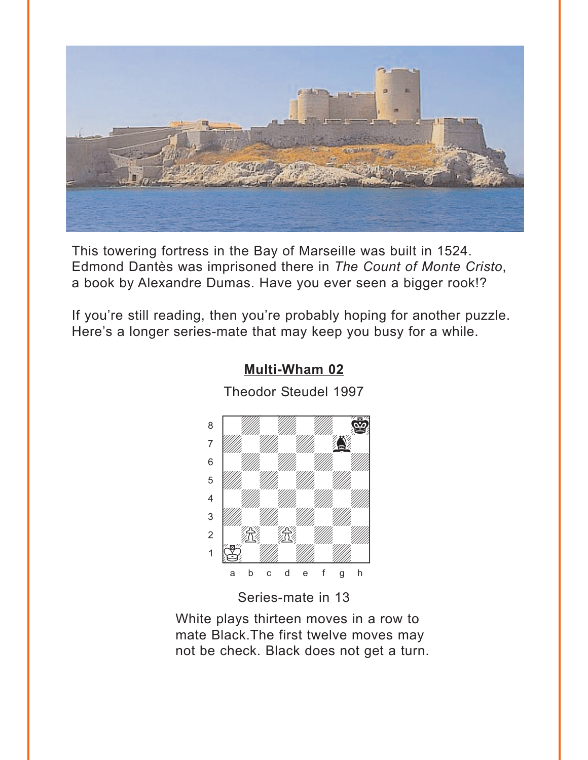<span id="page-3-0"></span>

This towering fortress in the Bay of Marseille was built in 1524. Edmond Dantès was imprisoned there in *The Count of Monte Cristo*, a book by Alexandre Dumas. Have you ever seen a bigger rook!?

If you're still reading, then you're probably hoping for another puzzle. Here's a longer series-mate that may keep you busy for a while.



### **[Multi-Wham 02](#page-5-0)**

Theodor Steudel 1997

Series-mate in 13

White plays thirteen moves in a row to mate Black.The first twelve moves may not be check. Black does not get a turn.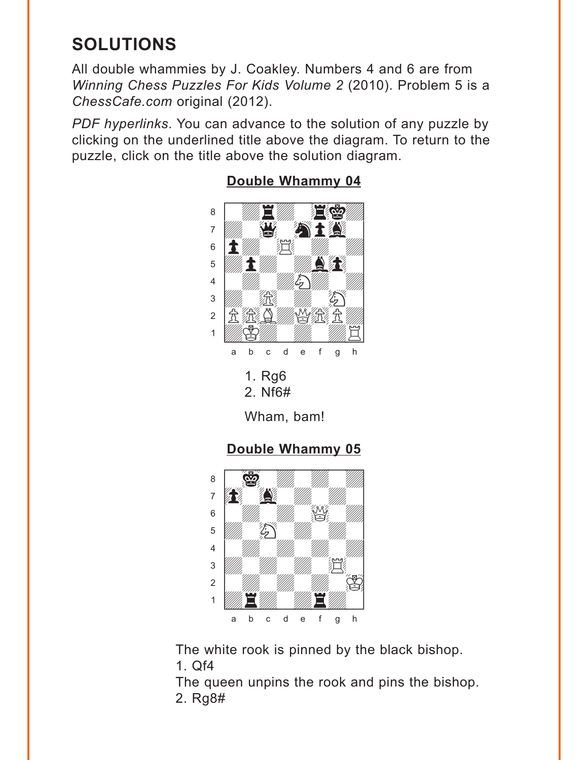# <span id="page-4-0"></span>**SOLUTIONS**

All double whammies by J. Coakley. Numbers 4 and 6 are from *Winning Chess Puzzles For Kids Volume 2* (2010). Problem 5 is a *ChessCafe.com* original (2012).

*PDF hyperlinks*. You can advance to the solution of any puzzle by clicking on the underlined title above the diagram. To return to the puzzle, click on the title above the solution diagram.



## **[Double Whammy 04](#page-0-0)**

**[Double Whammy 05](#page-1-0)**



The white rook is pinned by the black bishop. 1. Qf4

The queen unpins the rook and pins the bishop. 2. Rg8#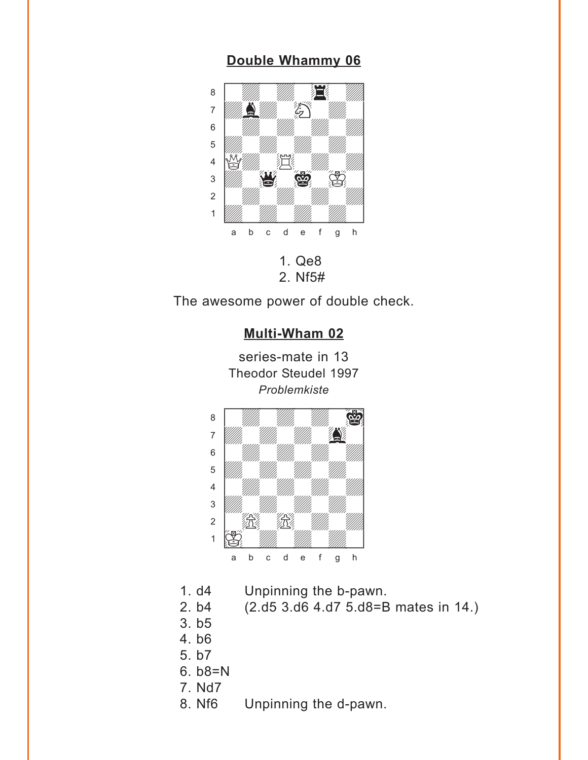#### <span id="page-5-0"></span>**[Double Whammy 06](#page-1-0)** where  $\frac{1}{2}$  and  $\frac{1}{2}$  and  $\frac{1}{2}$  and  $\frac{1}{2}$  and  $\frac{1}{2}$



2. Nf5#

The awesome power of double check.



- 1. d4 Unpinning the b-pawn.
- 2. b4 (2.d5 3.d6 4.d7 5.d8=B mates in 14.)
- 3. b5
- 4. b6
- 5. b7
- 6. b8=N
- 7. Nd7
- 8. Nf6 Unpinning the d-pawn.